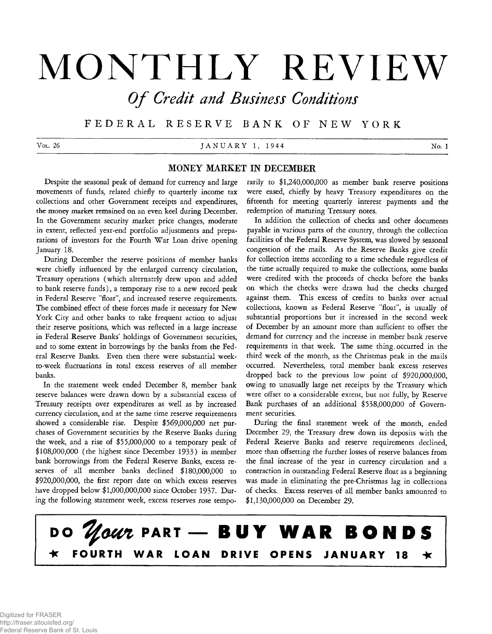# **MONTHLY REVIEW**

**Of Credit and Business Conditions** 

**F E D E R A L R E S E R V E B A N K OF N E W Y O R K**

Vol. 26 **JANUARY 1, 1944** No. 1

# **MONEY MARKET IN DECEMBER**

**Despite the seasonal peak of demand for currency and large movements of funds, related chiefly to quarterly income tax collections and other Government receipts and expenditures, the money market remained on an even keel during December. In the Government security market price changes, moderate in extent, reflected year-end portfolio adjustments and preparations of investors for the Fourth War Loan drive opening January 18.**

**During December the reserve positions of member banks were chiefly influenced by the enlarged currency circulation, Treasury operations (which alternately drew upon and added to bank reserve funds), a temporary rise to a new record peak in Federal Reserve "float", and increased reserve requirements. The combined effect of these forces made it necessary for New York City and other banks to take frequent action to adjust their reserve positions, which was reflected in a large increase in Federal Reserve Banks' holdings of Government securities, and to some extent in borrowings by the banks from the Federal Reserve Banks. Even then there were substantial weekto-week fluctuations in total excess reserves of all member banks.**

**In the statement week ended December 8, member bank reserve balances were drawn down by a substantial excess of Treasury receipts over expenditures as well as by increased currency circulation, and at the same time reserve requirements showed a considerable rise. Despite \$569,000,000 net purchases of Government securities by the Reserve Banks during the week, and a rise of \$55,000,000 to a temporary peak of \$108,000,000 (the highest since December 1933) in member bank borrowings from the Federal Reserve Banks, excess reserves of all member banks declined \$180,000,000 to \$920,000,000, the first report date on which excess reserves have dropped below \$1,000,000,000 since October 1937. During the following statement week, excess reserves rose tempo-** **rarily to \$1,240,000,000 as member bank reserve positions were eased, chiefly by heavy Treasury expenditures on the fifteenth for meeting quarterly interest payments and the redemption of maturing Treasury notes.**

**In addition the collection of checks and other documents payable in various parts of the country, through the collection facilities of the Federal Reserve System, was slowed by seasonal congestion of the mails. As the Reserve Banks give credit for collection items according to a time schedule regardless of the time actually required to make the collections, some banks were credited with the proceeds of checks before the banks on which the checks were drawn had the checks charged against them. This excess of credits to banks over actual collections, known as Federal Reserve "float", is usually of substantial proportions but it increased in the second week of December by an amount more than sufficient to offset the demand for currency and the increase in member bank reserve requirements in that week. The same thing, occurred in the third week of the month, as the Christmas peak in the mails occurred. Nevertheless, total member bank excess reserves dropped back to the previous low point of \$920,000,000, owing to unusually large net receipts by the Treasury which were offset to a considerable extent, but not fully, by Reserve Bank purchases of an additional \$538,000,000 of Government securities.**

**During the final statement week of the month, ended December 29, the Treasury drew down its deposits with the Federal Reserve Banks and reserve requirements declined, more than offsetting the further losses of reserve balances from the final increase of the year in currency circulation and a contraction in outstanding Federal Reserve float as a beginning was made in eliminating the pre-Christmas lag in collections of checks. Excess reserves of all member banks amounted to \$1,130,000,000 on December 29.**

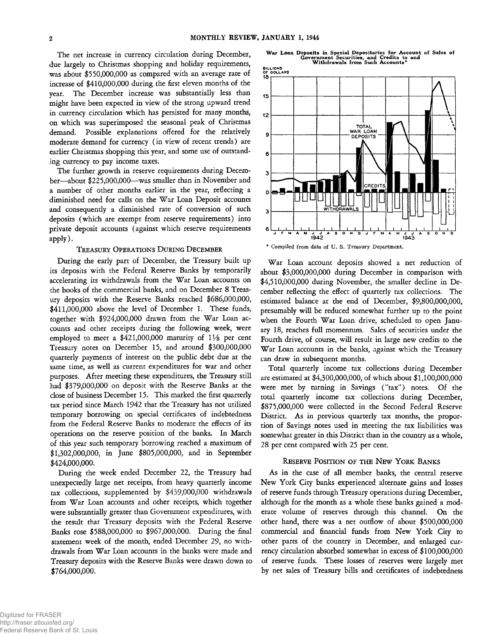**The net increase in currency circulation during December, due largely to Christmas shopping and holiday requirements, was about \$550,000,000 as compared with an average rate of increase of \$410,000,000 during the first eleven months of the year. The December increase was substantially less than might have been expected in view of the strong upward trend in currency circulation which has persisted for many months, on which was superimposed the seasonal peak of Christmas demand. Possible explanations offered for the relatively moderate demand for currency (in view of recent trends) are earlier Christmas shopping this year, and some use of outstanding currency to pay income taxes.**

**The further growth in reserve requirements during December— about \$225,000,000— was smaller than in November and a number of other months earlier in the year, reflecting a diminished need for calls on the War Loan Deposit accounts and consequently a diminished rate of conversion of such deposits (which are exempt from reserve requirements) into private deposit accounts (against which reserve requirements apply).**

#### TREASURY OPERATIONS DURING DECEMBER

**During the early part of December, the Treasury built up its deposits with the Federal Reserve Banks by temporarily accelerating its withdrawals from the War Loan accounts on the books of the commercial banks, and on December 8 Treasury deposits with the Reserve Banks reached \$686,000,000, \$411,000,000 above the level of December 1. These funds, together with \$924,000,000 drawn from the War Loan accounts and other receipts during the following week, were employed to meet a \$421,000,000 maturity of** *lVs* **per cent Treasury notes on December 15, and around \$300,000,000 quarterly payments of interest on the public debt due at the same time, as well as current expenditures for war and other purposes. After meeting these expenditures, the Treasury still had \$379,000,000 on deposit with the Reserve Banks at the close of business December 15. This marked the first quarterly tax period since March 1942 that the Treasury has not utilized temporary borrowing on special certificates of indebtedness from the Federal Reserve Banks to moderate the effects of its operations on the reserve position of the banks. In March of this year such temporary borrowing reached a maximum of \$1,302,000,000, in June \$805,000,000, and in September \$424,000,000.**

**During the week ended December 22, the Treasury had unexpectedly large net receipts, from heavy quarterly income tax collections, supplemented by \$439,000,000 withdrawals from War Loan accounts and other receipts, which together were substantially greater than Government expenditures, with the result that Treasury deposits with the Federal Reserve Banks rose \$588,000,000 to \$967,000,000. During the final statement week of the month, ended December 29, no withdrawals from War Loan accounts in the banks were made and Treasury deposits with the Reserve Banks were drawn down to \$764,000,000.**

**W ar Loan Deposits in Special Depositaries for Account of Sales of Government Securities, and Credits to and Withdrawals from Such Accounts\***



**\* Compiled from data of U. S. Treasury Department.**

**War Loan account deposits showed a net reduction of about \$3,000,000,000 during December in comparison with \$4,510,000,000 during November, the smaller decline in December reflecting the effect of quarterly tax collections. The estimated balance at the end of December, \$9,800,000,000, presumably will be reduced somewhat further up to the point when the Fourth War Loan drive, scheduled to open January 18, reaches full momentum. Sales of securities under the Fourth drive, of course, will result in large new credits to the War Loan accounts in the banks, against which the Treasury can draw in subsequent months.**

**Total quarterly income tax collections during December are estimated at \$4,300,000,000, of which about \$1,100,000,000 were met by turning in Savings ("tax") notes. Of the total quarterly income tax collections during December, \$875,000,000 were collected in the Second Federal Reserve District. As in previous quarterly tax months, the proportion of Savings notes used in meeting the tax liabilities was somewhat greater in this District than in the country as a whole, 28 per cent compared with 25 per cent.**

#### RESERVE POSITION OF THE NEW YORK BANKS

**As in the case of all member banks, the central reserve New York City banks experienced alternate gains and losses of reserve funds through Treasury operations during December, although for the month as a whole these banks gained a moderate volume of reserves through this channel. On the other hand, there was a net outflow of about \$500,000,000 commercial and financial funds from New York City to other parts of the country in December, and enlarged currency circulation absorbed somewhat in excess of \$100,000,000 of reserve funds. These losses of reserves were largely met by net sales of Treasury bills and certificates of indebtedness**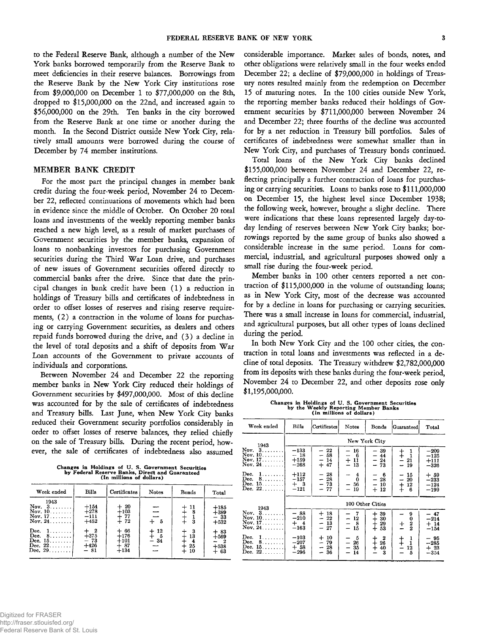**to the Federal Reserve Bank, although a number of the New York banks borrowed temporarily from the Reserve Bank to meet deficiencies in their reserve balances. Borrowings from the Reserve Bank by the New York City institutions rose from \$9,000,000 on December 1 to \$77,000,000 on the 8th, dropped to \$15,000,000 on the 22nd, and increased again to \$56,000,000 on the 29th. Ten banks in the city borrowed from the Reserve Bank at one time or another during the month. In the Second District outside New York City, relatively small amounts were borrowed during the course of December by 74 member institutions.**

#### **MEMBER BANK CREDIT**

**For the most part the principal changes in member bank credit during the four-week period, November 24 to December 22, reflected continuations of movements which had been in evidence since the middle of October. On October 20 total loans and investments of the weekly reporting member banks reached a new high level, as a result of market purchases of Government securities by the member banks, expansion of loans to nonbanking investors for purchasing Government securities during the Third War Loan drive, and purchases of new issues of Government securities offered directly to commercial banks after the drive. Since that date the principal changes in bank credit have been (1) a reduction in holdings of Treasury bills and certificates of indebtedness in order to offset losses of reserves and rising reserve requirements, (2) a contraction in the volume of loans for purchasing or carrying Government securities, as dealers and others repaid funds borrowed during the drive, and ( 3 ) a decline in the level of total deposits and a shift of deposits from War Loan accounts of the Government to private accounts of individuals and corporations.**

**Between November 24 and December 22 the reporting member banks in New York City reduced their holdings of Government securities by \$497,000,000. Most of this decline was accounted for by the sale of certificates of indebtedness and Treasury bills. Last June, when New York City banks reduced their Government security portfolios considerably in order to offset losses of reserve balances, they relied chiefly on the sale of Treasury bills. During the recent period, however, the sale of certificates of indebtedness also assumed**

**Changes in Holdings of U. S. Government Securities by Federal Reserve Banks, Direct and Guaranteed (In millions of dollars)**

| Week ended                                                              | Bills                                | Certificates                                      | Notes                         | Bonds                             | Total                                      |
|-------------------------------------------------------------------------|--------------------------------------|---------------------------------------------------|-------------------------------|-----------------------------------|--------------------------------------------|
| 1943<br>Nov. $3, \ldots, \ldots$<br>Nov. $10$<br>Nov. $17$<br>Nov. $24$ | $+154$<br>$+278$<br>$-111$<br>$+452$ | $+20$<br>$+103$<br>$rac{1}{2}$ $rac{77}{72}$      | - 5                           | $+11$<br>3                        | $+185$<br>$+389$<br>$-33$<br>$+532$        |
| Dec.<br>1.<br>Dec.<br>8.<br>Dec. $15$<br>Dec. $22 \ldots$<br>Dec. $29$  | $+375$<br>$-73$<br>$+426$<br>$-81$   | -66<br>$+$<br>$+176$<br>$+101$<br>$+87$<br>$+134$ | -12<br>$+12$<br>$+5$<br>$-34$ | - 3<br>13<br>$\frac{4}{25}$<br>10 | $+83$<br>$+569$<br>$-2$<br>$+538$<br>$+63$ |

**considerable importance. Market sales of bonds, notes, and other obligations were relatively small in the four weeks ended December 22; a decline of \$79,000,000 in holdings of Treasury notes resulted mainly from the redemption on December 15 of maturing notes. In the 100 cities outside New York, the reporting member banks reduced their holdings of Government securities by \$711,000,000 between November 24 and December 22; three fourths of the decline was accounted for by a net reduction in Treasury bill portfolios. Sales of certificates of indebtedness were somewhat smaller than in New York City, and purchases of Treasury bonds continued.**

**Total loans of the New York City banks declined \$155,000,000 between November 24 and December 22, reflecting principally a further contraction of loans for purchasing or carrying securities. Loans to banks rose to \$111,000,000 on December 15, the highest level since December 1938; the following week, however, brought a slight decline. There were indications that these loans represented largely day-today lending of reserves between New York City banks; borrowings reported by the same group of banks also showed a considerable increase in the same period. Loans for commercial, industrial, and agricultural purposes showed only a small rise during the four-week period.**

**Member banks in 100 other centers reported a net contraction of \$115,000,000 in the volume of outstanding loans; as in New York City, most of the decrease was accounted for by a decline in loans for purchasing or carrying securities. There was a small increase in loans for commercial, industrial, and agricultural purposes, but all other types of loans declined during the period.**

**In both New York City and the 100 other cities, the contraction in total loans and investments was reflected in a decline of total deposits. The Treasury withdrew \$2,782,000,000 from its deposits with these banks during the four-week period, November 24 to December 22, and other deposits rose only \$1,195,000,000.**

**Changes in Holdings of U. S. Government Securities by the Weekly Reporting Member Banks (In millions of dollars)**

| (in millions of dollars)                                |                                        |                                     |                                        |                                                      |                                                                     |                                      |  |  |
|---------------------------------------------------------|----------------------------------------|-------------------------------------|----------------------------------------|------------------------------------------------------|---------------------------------------------------------------------|--------------------------------------|--|--|
| Week ended                                              | Bille                                  | Certificates                        | Notes                                  | Bonds                                                | Guaranteed                                                          | Total                                |  |  |
| 1943                                                    | New York City                          |                                     |                                        |                                                      |                                                                     |                                      |  |  |
| Nov. $3, \ldots,$<br>Nov. $10$<br>Nov. 17.<br>Nov. $24$ | $-133$<br>$-18$<br>$+159$<br>$-268$    | $-22$<br>- 58<br>- 14<br>$+47$      | $-16$<br>- 6<br><u></u><br>$+11$<br>13 | - 39<br>$-44$<br>$-24$<br>- 73                       | $rac{+}{+}$<br>$\frac{1}{1}$<br>21<br>÷<br>-19                      | $-209$<br>$-125$<br>$+111$<br>$-326$ |  |  |
| Dec.<br>1.<br>Dec.<br>8.<br>Dec. $15$<br>Dec. $22$      | $+112$<br>$-157$<br>$+$ 3<br>$^{-121}$ | $-28$<br>$-28$<br>$-73$<br>- 77     | 4<br>--<br>0<br>- 56<br>-19<br><b></b> | 6<br>-28<br>$\qquad \qquad -$<br>$-10$<br>$+12$      | -15<br>-<br>20<br>$\overline{\phantom{0}}$<br>$\ddagger$<br>12<br>ß | $+59$<br>$-233$<br>$-124$<br>$-199$  |  |  |
| 1943                                                    | 100 Other Cities                       |                                     |                                        |                                                      |                                                                     |                                      |  |  |
| Nov. 3<br>Nov. $10$<br>Nov. 17.<br>Nov. $24$            | - 88<br>$^{-210}$<br>$+$ 4<br>$-163$   | $+18$<br>$-22$<br>- 13<br>$-27$     | - 7<br>$-12$<br>8<br>$-15$             | 39<br>┿<br>$_+^+$<br>30<br>29<br>53                  | 9<br>0<br>$\frac{2}{2}$<br>$_{\pm}$                                 | - 47<br>$-214$<br>$+14$<br>$-154$    |  |  |
| Dec.<br>1.<br>Dec.<br>8.<br>Dec. 15.<br>Dec. $22$       | $-103$<br>$-207$<br>$+58$<br>$-296$    | -10<br>$+$<br>- 79<br>$-28$<br>- 36 | 5<br>- 26<br>- 35<br>14                | 2<br>┿<br>$\mathrm{+}$<br>26<br>$\ddot{}$<br>40<br>З | 1<br>$rac{+}{+}$<br>1<br>12<br>5                                    | $-95$<br>$-285$<br>$+23$<br>$-354$   |  |  |

Digitized for FRASER

Federal Reserve Bank of St. Louis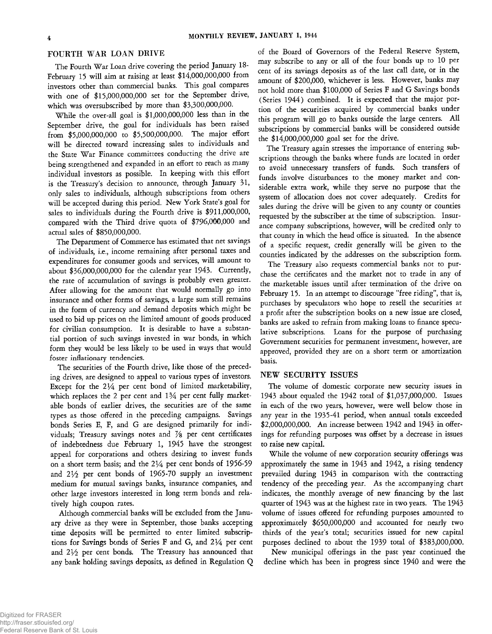# **FOURTH WAR LOAN DRIVE**

**The Fourth War Loan drive covering the period January 18- February 15 will aim at raising at least \$14,000,000,000 from investors other than commercial banks. This goal compares with one of \$15,000,000,000 set for the September drive, which was oversubscribed by more than \$3,300,000,000.**

**While the over-all goal is \$1,000,000,000 less than in the September drive, the goal for individuals has been raised from \$5,000,000,000 to \$5,500,000,000. The major effort will be directed toward increasing sales to individuals and the State War Finance committees conducting the drive are being strengthened and expanded in an effort to reach as many individual investors as possible. In keeping with this effort is the Treasury's decision to announce, through January 31, only sales to individuals, although subscriptions from others will be accepted during this period. New York State's goal for sales to individuals during the Fourth drive is \$911,000,000, compared with the Third drive quota of \$796,000,000 and actual sales of \$850,000,000.**

**The Department of Commerce has estimated that net savings of individuals, i.e., income remaining after personal taxes and expenditures for consumer goods and services, will amount to about \$36,000,000,000 for the calendar year 1943. Currently, the rate of accumulation of savings is probably even greater. After allowing for the amount that would normally go into insurance and other forms of savings, a large sum still remains in the form of currency and demand deposits which might be used to bid up prices on the limited amount of goods produced for civilian consumption. It is desirable to have a substantial portion of such savings invested in war bonds, in which form they would be less likely to be used in ways that would foster inflationary tendencies.**

**The securities of the Fourth drive, like those of the preceding drives, are designed to appeal to various types of investors. Except for the 2** *Va* **per cent bond of limited marketability,** which replaces the 2 per cent and  $1\frac{3}{4}$  per cent fully market**able bonds of earlier drives, the securities are of the same types as those offered in the preceding campaigns. Savings bonds Series E, F, and G are designed primarily for individuals; Treasury savings notes and % per cent certificates of indebtedness due February 1, 1945 have the strongest appeal for corporations and others desiring to invest funds on a short term basis; and the** *2 V <sup>a</sup>* **per cent bonds of 1956-59 and 2** *Vi* **per cent bonds of 1965-70 supply an investment medium for mutual savings banks, insurance companies, and other large investors interested in long term bonds and relatively high coupon rates.**

**Although commercial banks will be excluded from the January drive as they were in September, those banks accepting time deposits will be permitted to enter limited subscrip**tions for Savings bonds of Series F and G, and  $2\frac{1}{4}$  per cent **and 21/2 per cent bonds. The Treasury has announced that any bank holding savings deposits, as defined in Regulation Q**

**of the Board of Governors of the Federal Reserve System, may subscribe to any or all of the four bonds up to 10 per cent of its savings deposits as of the last call date, or in the amount of \$200,000, whichever is less. However, banks may not hold more than \$100,000 of Series F and G Savings bonds (Series 1944) combined. It is expected that the major portion of the securities acquired by commercial banks under this program will go to banks outside the large centers. All subscriptions by commercial banks will be considered outside the \$14,000,000,000 goal set for the drive.**

**The Treasury again stresses the importance of entering subscriptions through the banks where funds are located in order to avoid unnecessary transfers of funds. Such transfers of funds involve disturbances to the money market and considerable extra work, while they serve no purpose that the system of allocation does not cover adequately. Credits for sales during the drive will be given to any county or counties requested by the subscriber at the time of subscription. Insurance company subscriptions, however, will be credited only to that county in which the head office is situated. In the absence of a specific request, credit generally will be given to the counties indicated by the addresses on the subscription form.**

**The Treasury also requests commercial banks not to purchase the certificates and the market not to trade in any of the marketable issues until after termination of the drive on February 15. In an attempt to discourage "free riding", that is, purchases by speculators who hope to resell the securities at a profit after the subscription books on a new issue are closed, banks are asked to refrain from making loans to finance speculative subscriptions. Loans for the purpose of purchasing Government securities for permanent investment, however, are approved, provided they are on a short term or amortization basis.**

# **NEW SECURITY ISSUES**

**The volume of domestic corporate new security issues in 1943 about equaled the 1942 total of \$1,037,000,000. Issues in each of the two years, however, were well below those in any year in the 1935-41 period, when annual totals exceeded \$2,000,000,000. An increase between 1942 and 1943 in offerings for refunding purposes was offset by a decrease in issues to raise new capital.**

**While the volume of new corporation security offerings was approximately the same in 1943 and 1942, a rising tendency prevailed during 1943 in comparison with the contracting tendency of the preceding year. As the accompanying chart indicates, the monthly average of new financing by the last quarter of 1943 was at the highest rate in two years. The 1943 volume of issues offered for refunding purposes amounted to approximately \$650,000,000 and accounted for nearly two thirds of the year's total; securities issued for new capital purposes declined to about the 1939 total of \$383,000,000.**

**New municipal offerings in the past year continued the decline which has been in progress since 1940 and were the**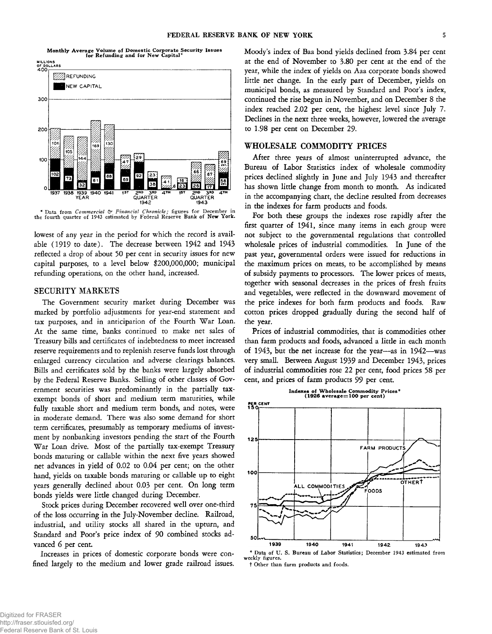**Monthly Average Volume of Domestic Corporate Security Issues for Refunding and for New Capital\***



**\* Data from** *Commercial & Financial Chronicle;* **figures for December in the fourth quarter of 1943 estimated by Federal Reserve Bank of New York.**

**lowest of any year in the period for which the record is available (1919 to date). The decrease between 1942 and 1943 reflected a drop of about 50 per cent in security issues for new capital purposes, to a level below \$200,000,000; municipal refunding operations, on the other hand, increased.**

# **SECURITY MARKETS**

**The Government security market during December was marked by portfolio adjustments for year-end statement and tax purposes, and in anticipation of the Fourth War Loan. At the same time, banks continued to make net sales of Treasury bills and certificates of indebtedness to meet increased reserve requirements and to replenish reserve funds lost through enlarged currency circulation and adverse clearings balances. Bills and certificates sold by the banks were largely absorbed by the Federal Reserve Banks. Selling of other classes of Government securities was predominantly in the partially taxexempt bonds of short and medium term maturities, while fully taxable short and medium term bonds, and notes, were in moderate demand. There was also some demand for short term certificates, presumably as temporary mediums of investment by nonbanking investors pending the start of the Fourth War Loan drive. Most of the partially tax-exempt Treasury bonds maturing or callable within the next five years showed net advances in yield of 0.02 to 0.04 per cent; on the other hand, yields on taxable bonds maturing or callable up to eight years generally declined about 0.03 per cent. On long term bonds yields were little changed during December.**

**Stock prices during December recovered well over one-third of the loss occurring in the July-November decline. Railroad, industrial, and utility stocks all shared in the upturn, and Standard and Poor's price index of 90 combined stocks advanced 6 per cent.**

**Increases in prices of domestic corporate bonds were confined largely to the medium and lower grade railroad issues.** **Moody's index of Baa bond yields declined from 3.84 per cent at the end of November to 3.80 per cent at the end of the year, while the index of yields on Aaa corporate bonds showed little net change. In the early part of December, yields on municipal bonds, as measured by Standard and Poor's index, continued the rise begun in November, and on December 8 the index reached 2.02 per cent, the highest level since July 7. Declines in the next three weeks, however, lowered the average to 1.98 per cent on December 29.**

# **WHOLESALE COMMODITY PRICES**

**After three years of almost uninterrupted advance, the Bureau of Labor Statistics index of wholesale commodity prices declined slightly in June and July 1943 and thereafter has shown little change from month to month. As indicated in the accompanying chart, the decline resulted from decreases in the indexes for farm products and foods.**

**For both these groups the indexes rose rapidly after the first quarter of 1941, since many items in each group were not subject to the governmental regulations that controlled wholesale prices of industrial commodities. In June of the past year, governmental orders were issued for reductions in the maximum prices on meats, to be accomplished by means of subsidy payments to processors. The lower prices of meats, together with seasonal decreases in the prices of fresh fruits and vegetables, were reflected in the downward movement of the price indexes for both farm products and foods. Raw cotton prices dropped gradually during the second half of the year.**

**Prices of industrial commodities, that is commodities other than farm products and foods, advanced a little in each month of 1943, but the net increase for the year— as in 1942— was very small. Between August 1939 and December 1943, prices of industrial commodities rose 22 per cent, food prices 58 per cent, and prices of farm products 99 per cent.**



t Other than farm products and foods.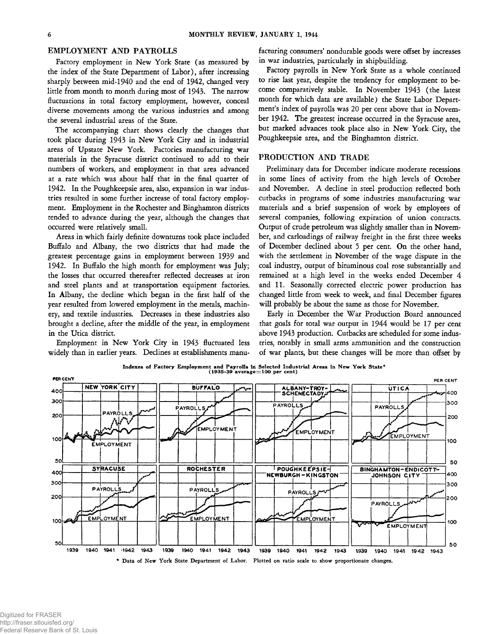**Factory employment in New York State (as measured by the index of the State Department of Labor), after increasing sharply between mid-1940 and the end of 1942, changed very little from month to month during most of 1943. The narrow fluctuations in total factory employment, however, conceal diverse movements among the various industries and among the several industrial areas of the State.**

**The accompanying chart shows clearly the changes that took place during 1943 in New York City and in industrial areas of Upstate New York. Factories manufacturing war materials in the Syracuse district continued to add to their numbers of workers, and employment in that area advanced at a rate which was about half that in the final quarter of 1942. In the Poughkeepsie area, also, expansion in war industries resulted in some further increase of total factory employment. Employment in the Rochester and Binghamton districts tended to advance during the year, although the changes that occurred were relatively small.**

**Areas in which fairly definite downturns took place included Buffalo and Albany, the two districts that had made the greatest percentage gains in employment between 1939 and 1942. In Buffalo the high month for employment was July; the losses that occurred thereafter reflected decreases at iron and steel plants and at transportation equipment factories. In Albany, the decline which began in the first half of the year resulted from lowered employment in the metals, machinery, and textile industries. Decreases in these industries also brought a decline, after the middle of the year, in employment in the Utica district.**

**Employment in New York City in 1943 fluctuated less widely than in earlier years. Declines at establishments manu-**

**EMPLOYMENT AND PAYROLLS facturing consumers' nondurable goods were offset by increases in war industries, particularly in shipbuilding.**

> **Factory payrolls in New York State as a whole continued to rise last year, despite the tendency for employment to become comparatively stable. In November 1943 (the latest month for which data are available) the State Labor Department's index of payrolls was 20 per cent above that in November 1942. The greatest increase occurred in the Syracuse area, but marked advances took place also in New York City, the Poughkeepsie area, and the Binghamton district.**

#### **PRODUCTION AND TRADE**

**Preliminary data for December indicate moderate recessions in some lines of activity from the high levels of October and November. A decline in steel production reflected both cutbacks in programs of some industries manufacturing war materials and a brief suspension of work by employees of several companies, following expiration of union contracts. Output of crude petroleum was slightly smaller than in November, and carloadings of railway freight in the first three weeks of December declined about 5 per cent. On the other hand, with the settlement in November of the wage dispute in the coal industry, output of bituminous coal rose substantially and remained at a high level in the weeks ended December 4 and 11. Seasonally corrected electric power production has changed little from week to week, and final December figures will probably be about the same as those for November.**

**Early in December the War Production Board announced that goals for total war output in 1944 would be 17 per cent above 1943 production. Cutbacks are scheduled for some industries, notably in small arms ammunition and the construction of war plants, but these changes will be more than offset by**



Indexes of Factory Employment and Payrolls in Selected Industrial Areas in New York State\*<br>(1935-39 average=100 per cent)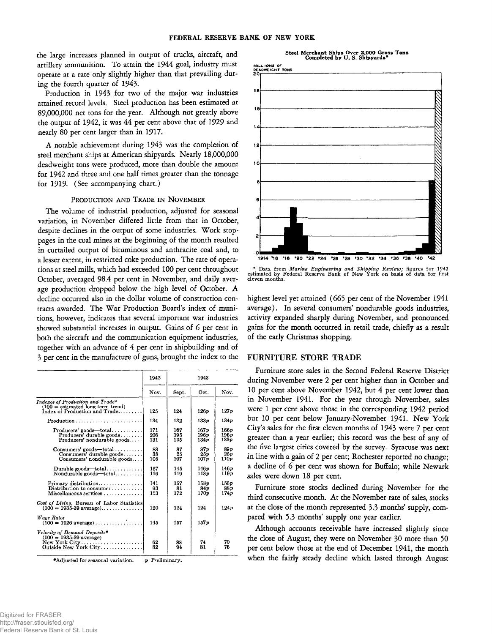**the large increases planned in output of trucks, aircraft, and artillery ammunition. To attain the 1944 goal, industry must operate at a rate only slightly higher than that prevailing during the fourth quarter of 1943.**

**Production in 1943 for two of the major war industries attained record levels. Steel production has been estimated at 89,000,000 net tons for the year. Although not greatly above the output of 1942, it was 44 per cent above that of 1929 and nearly 80 per cent larger than in 1917.**

**A notable achievement during 1943 was the completion of steel merchant ships at American shipyards. Nearly 18,000,000 deadweight tons were produced, more than double the amount for 1942 and three and one half times greater than the tonnage for 1919. (See accompanying chart.)**

# **Production and Trade in N ovember**

**The volume of industrial production, adjusted for seasonal variation, in November differed little from that in October, despite declines in the output of some industries. Work stoppages in the coal mines at the beginning of the month resulted in curtailed output of bituminous and anthracite coal and, to a lesser extent, in restricted coke production. The rate of operations at steel mills, which had exceeded 100 per cent throughout October, averaged 98.4 per cent in November, and daily average production dropped below the high level of October. A decline occurred also in the dollar volume of construction con**tracts awarded. The War Production Board's index of muni**tions, however, indicates that several important war industries showed substantial increases in output. Gains of 6 per cent in both the aircraft and the communication equipment industries, together with an advance of 4 per cent in shipbuilding and of 3 per cent in the manufacture of guns, brought the index to the**

|                                                                                                                              | 1942              | 1943              |                      |                       |
|------------------------------------------------------------------------------------------------------------------------------|-------------------|-------------------|----------------------|-----------------------|
|                                                                                                                              | Nov.              | Sept.             | Oct.                 | Nov.                  |
| Indexes of Production and Trade*<br>$(100 =$ estimated long term trend)<br>Index of Production and Trade                     | 125               | 124               | $126\nu$             | 127p                  |
|                                                                                                                              | 134               | 132               | 133 p                | 134p                  |
| $Producers'$ goods—total<br>$Producers' durable goods. \ldots$<br>$Producers'$ nondurable goods                              | 171<br>206<br>131 | 167<br>195<br>135 | 167p<br>196p<br>134p | 166p<br>196 p<br>133p |
| $Consumers'$ goods—total $\dots\dots\dots$<br>Consumers' durable goods<br>Consumers' nondurable goods                        | 88<br>38<br>105   | 87<br>25<br>107   | 87 p<br>25 p<br>107p | 89p<br>25p<br>110p    |
| Durable goods—total<br>Nondurable goods—total                                                                                | 157<br>116        | 145<br>119        | 146 p<br>118p        | 146 p<br>119 <i>v</i> |
| $Primary$ distribution<br>Distribution to consumer $\ldots \ldots \ldots$<br>$Miseellaneous$ services $\ldots \ldots \ldots$ | 141<br>93<br>153  | 157<br>81<br>172  | 158v<br>84 p<br>170p | 156 p<br>88p<br>174p  |
| Cost of Living, Bureau of Labor Statistics<br>$(100 = 1935 - 39 \text{ average}) \dots \dots \dots \dots$                    | 120               | 124               | 124                  | 124p                  |
| Wage Rates<br>$(100 - 1926 \text{ average}) \dots \dots \dots$                                                               | 145               | 157               | 157p                 |                       |
| Velocity of Demand Deposits*<br>$(100 = 1935 - 39$ average)<br>$New York City \ldots$<br>Outside New York City               | 62<br>82          | 88<br>94          | 74<br>81             | 70<br>76              |

♦Adjusted for seasonal variation. p Preliminary.





**\*** Data from *Marine Engineering and Shipping Review;* figures for 1943<br>estimated by Federal Reserve Bank of New York on basis of data for first<br>eleven months.

**highest level yet attained (665 per cent of the November 1941 average). In several consumers' nondurable goods industries, activity expanded sharply during November, and pronounced gains for the month occurred in retail trade, chiefly as a result of the early Christmas shopping.**

#### **FURNITURE STORE TRADE**

**Furniture store sales in the Second Federal Reserve District during November were 2 per cent higher than in October and 10 per cent above November 1942, but 4 per cent lower than in November 1941. For the year through November, sales were 1 per cent above those in the corresponding 1942 period but 10 per cent below January-November 1941. New York Citys sales for the first eleven months of 1943 were 7 per cent greater than a year earlier; this record was the best of any of the five largest cities covered by the survey. Syracuse was next in line with a gain of 2 per cent; Rochester reported no change; a decline of 6 per cent was shown for Buffalo; while Newark sales were down 18 per cent.**

**Furniture store stocks declined during November for the third consecutive month. At the November rate of sales, stocks at the close of the month represented 3.3 months' supply, compared with 5.3 months' supply one year earlier.**

**Although accounts receivable have increased slightly since the close of August, they were on November 30 more than 50 per cent below those at the end of December 1941, the month when the fairly steady decline which lasted through August**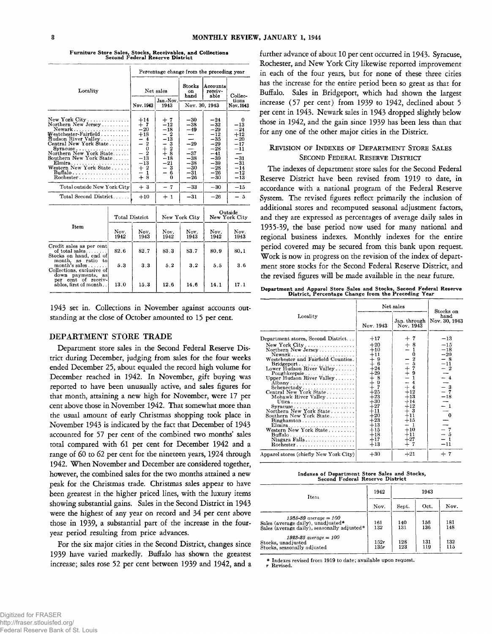| Locality                                                                                                                                                                                                                                                                                                                            |              | Percentage change from the preceding year                                                                                                  |                                                                                                                          |                                                                                                 |                                                                                                                          |                                                                                                               |  |
|-------------------------------------------------------------------------------------------------------------------------------------------------------------------------------------------------------------------------------------------------------------------------------------------------------------------------------------|--------------|--------------------------------------------------------------------------------------------------------------------------------------------|--------------------------------------------------------------------------------------------------------------------------|-------------------------------------------------------------------------------------------------|--------------------------------------------------------------------------------------------------------------------------|---------------------------------------------------------------------------------------------------------------|--|
|                                                                                                                                                                                                                                                                                                                                     |              | Net sales                                                                                                                                  |                                                                                                                          | Stocks<br>$\alpha$<br>hand                                                                      | Accounts<br>receiv-<br>able                                                                                              | Collec-                                                                                                       |  |
|                                                                                                                                                                                                                                                                                                                                     |              | Nov. 1943                                                                                                                                  | Jan-Nov.<br>1943                                                                                                         | Nov. 30, 1943                                                                                   |                                                                                                                          | tions<br><b>Nov. 1943</b>                                                                                     |  |
| $New York City \ldots \ldots \ldots \ldots$<br>Northern New Jersey<br>Newark<br>${\bf Western\text{-}Fairfield}$<br><b>Hudson River Valley</b><br>Central New York State<br>Southern New York State<br>Elmira<br>Western New York State<br>Buffalo<br>$Rochester \ldots \ldots \ldots \ldots \ldots$<br>Total outside New York City |              | $+14$<br>$+7$<br>$^{-20}$<br>$+18$<br>-4<br>—<br>$\overline{2}$<br>$\bf{0}$<br>$-2$<br>$-13$<br>$^{-13}$<br>$+2$<br>1<br>—<br>$+8$<br>$+3$ | + 7<br>$-12$<br>$-18$<br>$-2$<br>$-13$<br>- 3<br>$_{+\ \rm 8}^{+\ \rm 2}$<br>$-18$<br>$^{-21}$<br>- 3<br>- 6<br>0<br>- 7 | $-30$<br>$-38$<br>$-49$<br>$-29$<br>$-37$<br>$-38$<br>$-38$<br>$-30$<br>$-31$<br>$-26$<br>$-33$ | $-24$<br>$-32$<br>$-29$<br>$-12$<br>$-35$<br>$-29$<br>$-28$<br>-41<br>$-39$<br>$-39$<br>$-28$<br>$-26$<br>$-30$<br>$-30$ | 0<br>$-13$<br>$-24$<br>$+12$<br>$-20$<br>$-17$<br>$-11$<br>$-31$<br>$-31$<br>$-14$<br>$-12$<br>$-13$<br>$-15$ |  |
| Total Second District                                                                                                                                                                                                                                                                                                               |              | $+10$                                                                                                                                      | $+1$                                                                                                                     | $-31$                                                                                           | $-26$                                                                                                                    | - 5                                                                                                           |  |
|                                                                                                                                                                                                                                                                                                                                     |              | <b>Total District</b>                                                                                                                      |                                                                                                                          | New York City                                                                                   |                                                                                                                          | Outside<br>New York City                                                                                      |  |
| Item                                                                                                                                                                                                                                                                                                                                | Nov.<br>1942 | Nov.<br>1943                                                                                                                               | Nov.<br>1942                                                                                                             | Nov.<br>1943                                                                                    | Nov.<br>1942                                                                                                             | Nov.<br>1943                                                                                                  |  |
| Credit sales as per cent<br>of total sales<br>Stocks on hand, end of<br>month, as ratio to<br>$month's sales \ldots$<br>Collections, exclusive of<br>down payments, as<br>per cent of receiv-<br>ables, first of month                                                                                                              | 82.6         | 82.7                                                                                                                                       | 83.3                                                                                                                     | 83.7                                                                                            | 80.9                                                                                                                     | 80.1                                                                                                          |  |
|                                                                                                                                                                                                                                                                                                                                     | 5.3<br>13 0  | 3.3<br>15.3                                                                                                                                | 52<br>12.6                                                                                                               | 3.2<br>14.6                                                                                     | 5.5<br>14.1                                                                                                              | 3.6<br>17.1                                                                                                   |  |

Furniture Store Sales, Stocks, Receivables, and Collections Second Federal Reserve District

**1943 set in. Collections in November against accounts outstanding at the close of October amounted to 15 per cent.**

# **DEPARTMENT STORE TRADE**

**Department store sales in the Second Federal Reserve District during December, judging from sales for the four weeks ended December 25, about equaled the record high volume for December reached in 1942. In November, gift buying was reported to have been unusually active, and sales figures for that month, attaining a new high for November, were 17 per cent above those in November 1942. That somewhat more than the usual amount of early Christmas shopping took place in November 1943 is indicated by the fact that December of 1943 accounted for 57 per cent of the combined two months' sales total compared with 61 per cent for December 1942 and a range of 60 to 62 per cent for the nineteen years, 1924 through 1942. When November and December are considered together, however, the combined sales for the two months attained a new peak for the Christmas trade. Christmas sales appear to have been greatest in the higher priced lines, with the luxury items showing substantial gains. Sales in the Second District in 1943 were the highest of any year on record and 34 per cent above those in 1939, a substantial part of the increase in the fouryear period resulting from price advances.**

**For the six major cities in the Second District, changes since 1939 have varied markedly. Buffalo has shown the greatest increase; sales rose 52 per cent between 1939 and 1942, and a** **further advance of about 10 per cent occurred in 1943. Syracuse, Rochester, and New York City likewise reported improvement in each of the four years, but for none of these three cities has the increase for the entire period been so great as that for Buffalo. Sales in Bridgeport, which had shown the largest increase (57 per cent) from 1939 to 1942, declined about 5 per cent in 1943. Newark sales in 1943 dropped slightly below those in 1942, and the gain since 1939 has been less than that for any one of the other major cities in the District.**

#### REVISION OF INDEXES OF DEPARTMENT STORE SALES SECOND FEDERAL RESERVE DISTRICT

**The indexes of department store sales for the Second Federal Reserve District have been revised from 1919 to date, in accordance with a national program of the Federal Reserve System. The revised figures reflect primarily the inclusion of additional stores and recomputed seasonal adjustment factors, and they are expressed as percentages of average daily sales in 1935-39, the base period now used for many national and regional business indexes. Monthly indexes for the entire period covered may be secured from this bank upon request. Work is now in progress on the revision of the index of department store stocks for the Second Federal Reserve District, and the revised figures will be made available in the near future.**

**Department and Apparel Store Sales and Stocks, Second Federal Reserve District, Percentage Change from the Preceding Year**

|                                                                                                                                                                                                                                                                                                                                                                                                                                                                                                                                            | Net sales                                                                                                                                                                                                                                | Stocks on                                                                                                                                                                                                           |                                                                                                                                                               |
|--------------------------------------------------------------------------------------------------------------------------------------------------------------------------------------------------------------------------------------------------------------------------------------------------------------------------------------------------------------------------------------------------------------------------------------------------------------------------------------------------------------------------------------------|------------------------------------------------------------------------------------------------------------------------------------------------------------------------------------------------------------------------------------------|---------------------------------------------------------------------------------------------------------------------------------------------------------------------------------------------------------------------|---------------------------------------------------------------------------------------------------------------------------------------------------------------|
| Locality                                                                                                                                                                                                                                                                                                                                                                                                                                                                                                                                   | Nov. 1943                                                                                                                                                                                                                                | Jan. through<br>Nov. 1943                                                                                                                                                                                           | hand<br>Nov. 30, 1943                                                                                                                                         |
| Department stores, Second District<br>New York City<br>Northern New Jersey<br>Bridgeport<br>Lower Hudson River Valley<br>Poughkeepsie<br>Upper Hudson River Valley<br>Albany<br>Schenectady<br>Central New York State<br>Mohawk River Valley<br>Utica<br>Northern New York State<br>Southern New York State<br>$Binghamton \ldots \ldots \ldots \ldots \ldots$<br>Elmira<br>Western New York State<br>$\text{Buffalo} \dots \dots \dots \dots \dots \dots \dots$<br>Niagara Falls<br>$Rochester \ldots \ldots \ldots \ldots \ldots \ldots$ | $+17$<br>$+20$<br>$+10$<br>$+11$<br>$\begin{smallmatrix} + & 9 \\ + & 6 \end{smallmatrix}$<br>$+24$<br>$+29$<br>$+8$<br>$+9$<br>$+25$<br>$+23$<br>$+30$<br>$+27$<br>$+11$<br>$+20$<br>$+23$<br>$+13$<br>$+15$<br>$+18$<br>$+17$<br>$+13$ | $+7$<br>$+8$<br>-1<br>0<br>$\overline{2}$<br>5<br>$-1$<br>$\overline{7}$<br>9<br>1<br>$\overline{4}$<br>$+4$<br>$+12$<br>$+13$<br>$+14$<br>$+12$<br>$+3$<br>$+11$<br>$+15$<br>-1<br>$+10$<br>$+11$<br>$+27$<br>$+7$ | $-13$<br>$-15$<br>$-18$<br>$-20$<br>$\frac{-8}{-11}$<br>$-\frac{2}{4}$<br>$-3$<br>$-3$<br>$-18$<br>- 0<br>$\frac{-}{\overline{2}}\frac{7}{5}$<br>- 1<br>$-11$ |
| Apparel stores (chiefly New York City)                                                                                                                                                                                                                                                                                                                                                                                                                                                                                                     | $+30$                                                                                                                                                                                                                                    | $+21$                                                                                                                                                                                                               | $+7$                                                                                                                                                          |

| Indexes of Department Store Sales and Stocks, |
|-----------------------------------------------|
| Second Federal Reserve District               |

| Item                                                                                                             | 1942         |            |            |            |
|------------------------------------------------------------------------------------------------------------------|--------------|------------|------------|------------|
|                                                                                                                  | Nov.         | Sept.      | Oct.       | Nov.       |
| $1935 - 39$ average = $100$<br>Sales (average daily), unadjusted*<br>Sales (average daily), seasonally adjusted* | 161<br>132   | 140<br>131 | 156<br>136 | 181<br>148 |
| $1923 - 25$ average = $100$<br>Stocks, unadjusted<br>Stocks, seasonally adjusted                                 | 152r<br>135r | 128<br>123 | 131<br>119 | 132<br>115 |

**\* Indexes revised from 1919 to date; available upon request, r Revised.**